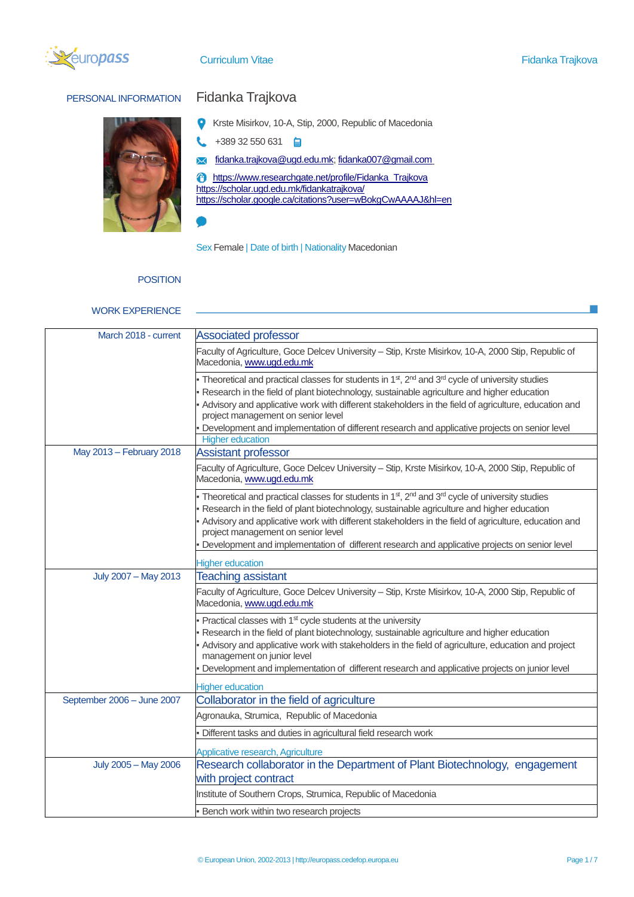

# PERSONAL INFORMATION Fidanka Trajkova



- Krste Misirkov, 10-A, Stip, 2000, Republic of Macedonia
- $+38932550631$ L
- [fidanka.trajkova@ugd.edu.mk;](mailto:fidanka.trajkova@ugd.edu.mk) [fidanka007@gmail.com](mailto:fidanka007@gmail.com)  $\overline{\mathsf{M}}$

[https://www.researchgate.net/profile/Fidanka\\_Trajkova](https://www.researchgate.net/profile/Fidanka_Trajkova) <https://scholar.ugd.edu.mk/fidankatrajkova/> <https://scholar.google.ca/citations?user=wBokgCwAAAAJ&hl=en>

Sex Female | Date of birth | Nationality Macedonian

# **POSITION**

### WORK EXPERIENCE

| March 2018 - current       | <b>Associated professor</b>                                                                                                                                                                                                                                                                                                                                                                                                                                                      |
|----------------------------|----------------------------------------------------------------------------------------------------------------------------------------------------------------------------------------------------------------------------------------------------------------------------------------------------------------------------------------------------------------------------------------------------------------------------------------------------------------------------------|
|                            | Faculty of Agriculture, Goce Delcev University - Stip, Krste Misirkov, 10-A, 2000 Stip, Republic of<br>Macedonia, www.ugd.edu.mk                                                                                                                                                                                                                                                                                                                                                 |
|                            | Theoretical and practical classes for students in 1 <sup>st</sup> , 2 <sup>nd</sup> and 3 <sup>rd</sup> cycle of university studies<br>Research in the field of plant biotechnology, sustainable agriculture and higher education<br>Advisory and applicative work with different stakeholders in the field of agriculture, education and                                                                                                                                        |
|                            | project management on senior level<br>Development and implementation of different research and applicative projects on senior level<br><b>Higher education</b>                                                                                                                                                                                                                                                                                                                   |
| May 2013 - February 2018   | <b>Assistant professor</b>                                                                                                                                                                                                                                                                                                                                                                                                                                                       |
|                            | Faculty of Agriculture, Goce Delcev University - Stip, Krste Misirkov, 10-A, 2000 Stip, Republic of<br>Macedonia, www.ugd.edu.mk                                                                                                                                                                                                                                                                                                                                                 |
|                            | Theoretical and practical classes for students in 1 <sup>st</sup> , 2 <sup>nd</sup> and 3 <sup>rd</sup> cycle of university studies<br>Research in the field of plant biotechnology, sustainable agriculture and higher education<br>Advisory and applicative work with different stakeholders in the field of agriculture, education and<br>project management on senior level<br>Development and implementation of different research and applicative projects on senior level |
|                            |                                                                                                                                                                                                                                                                                                                                                                                                                                                                                  |
| July 2007 - May 2013       | <b>Higher education</b><br><b>Teaching assistant</b>                                                                                                                                                                                                                                                                                                                                                                                                                             |
|                            | Faculty of Agriculture, Goce Delcev University - Stip, Krste Misirkov, 10-A, 2000 Stip, Republic of<br>Macedonia, www.ugd.edu.mk                                                                                                                                                                                                                                                                                                                                                 |
|                            | Practical classes with 1 <sup>st</sup> cycle students at the university<br>Research in the field of plant biotechnology, sustainable agriculture and higher education<br>Advisory and applicative work with stakeholders in the field of agriculture, education and project<br>management on junior level<br>Development and implementation of different research and applicative projects on junior level                                                                       |
|                            | <b>Higher education</b>                                                                                                                                                                                                                                                                                                                                                                                                                                                          |
| September 2006 - June 2007 | Collaborator in the field of agriculture                                                                                                                                                                                                                                                                                                                                                                                                                                         |
|                            | Agronauka, Strumica, Republic of Macedonia                                                                                                                                                                                                                                                                                                                                                                                                                                       |
|                            | Different tasks and duties in agricultural field research work                                                                                                                                                                                                                                                                                                                                                                                                                   |
|                            | Applicative research, Agriculture                                                                                                                                                                                                                                                                                                                                                                                                                                                |
| July 2005 - May 2006       | Research collaborator in the Department of Plant Biotechnology, engagement<br>with project contract                                                                                                                                                                                                                                                                                                                                                                              |
|                            | Institute of Southern Crops, Strumica, Republic of Macedonia                                                                                                                                                                                                                                                                                                                                                                                                                     |
|                            | Bench work within two research projects                                                                                                                                                                                                                                                                                                                                                                                                                                          |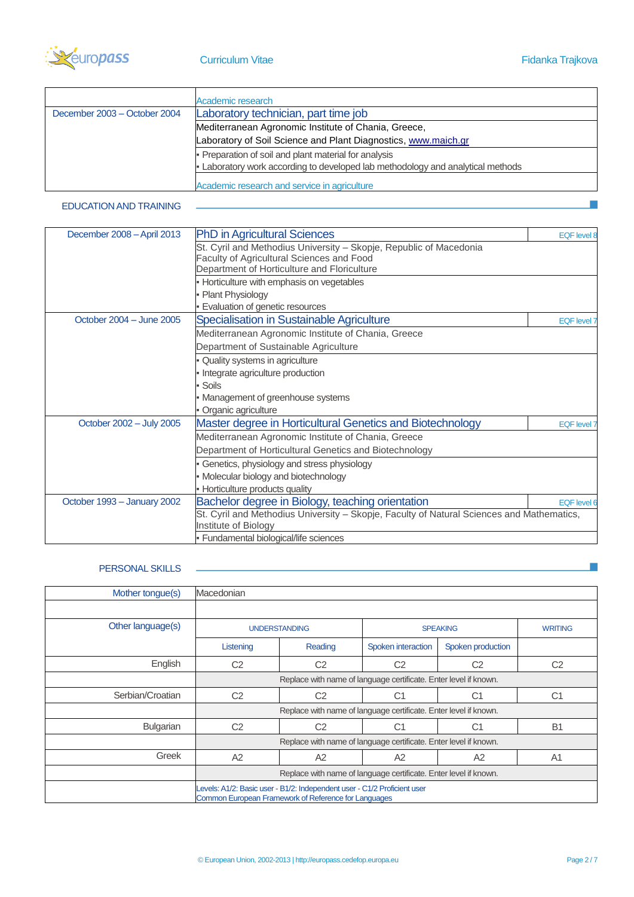

|                              | Academic research                                                             |  |
|------------------------------|-------------------------------------------------------------------------------|--|
| December 2003 - October 2004 | Laboratory technician, part time job                                          |  |
|                              | Mediterranean Agronomic Institute of Chania, Greece,                          |  |
|                              | Laboratory of Soil Science and Plant Diagnostics, www.maich.gr                |  |
|                              | Preparation of soil and plant material for analysis                           |  |
|                              | Laboratory work according to developed lab methodology and analytical methods |  |
|                              | Academic research and service in agriculture                                  |  |

# EDUCATION AND TRAINING

| December 2008 - April 2013  | <b>PhD in Agricultural Sciences</b>                                                       | <b>EQF</b> level 8 |
|-----------------------------|-------------------------------------------------------------------------------------------|--------------------|
|                             | St. Cyril and Methodius University - Skopje, Republic of Macedonia                        |                    |
|                             | Faculty of Agricultural Sciences and Food                                                 |                    |
|                             | Department of Horticulture and Floriculture                                               |                    |
|                             | Horticulture with emphasis on vegetables                                                  |                    |
|                             | Plant Physiology                                                                          |                    |
|                             | Evaluation of genetic resources                                                           |                    |
| October 2004 - June 2005    | Specialisation in Sustainable Agriculture                                                 | <b>EQF</b> level 7 |
|                             | Mediterranean Agronomic Institute of Chania, Greece                                       |                    |
|                             | Department of Sustainable Agriculture                                                     |                    |
|                             | Quality systems in agriculture                                                            |                    |
|                             | Integrate agriculture production                                                          |                    |
|                             | Soils                                                                                     |                    |
|                             | Management of greenhouse systems                                                          |                    |
|                             | Organic agriculture                                                                       |                    |
| October 2002 - July 2005    | Master degree in Horticultural Genetics and Biotechnology                                 | <b>EQF</b> level 7 |
|                             | Mediterranean Agronomic Institute of Chania, Greece                                       |                    |
|                             | Department of Horticultural Genetics and Biotechnology                                    |                    |
|                             | Genetics, physiology and stress physiology                                                |                    |
|                             | Molecular biology and biotechnology                                                       |                    |
|                             | Horticulture products quality                                                             |                    |
| October 1993 - January 2002 | Bachelor degree in Biology, teaching orientation                                          | EQF level 6        |
|                             | St. Cyril and Methodius University - Skopje, Faculty of Natural Sciences and Mathematics, |                    |
|                             | Institute of Biology                                                                      |                    |
|                             | · Fundamental biological/life sciences                                                    |                    |

# PERSONAL SKILLS -

| Mother tongue(s)  | Macedonian                                                                                                                       |                |                    |                   |                |
|-------------------|----------------------------------------------------------------------------------------------------------------------------------|----------------|--------------------|-------------------|----------------|
|                   |                                                                                                                                  |                |                    |                   |                |
| Other language(s) | <b>UNDERSTANDING</b>                                                                                                             |                |                    | <b>SPEAKING</b>   | <b>WRITING</b> |
|                   | Listening                                                                                                                        | Reading        | Spoken interaction | Spoken production |                |
| English           | C <sub>2</sub>                                                                                                                   | C <sub>2</sub> | C <sub>2</sub>     | C <sub>2</sub>    | C <sub>2</sub> |
|                   | Replace with name of language certificate. Enter level if known.                                                                 |                |                    |                   |                |
| Serbian/Croatian  | C <sub>2</sub>                                                                                                                   | C <sub>2</sub> | C <sub>1</sub>     | C <sub>1</sub>    | C <sub>1</sub> |
|                   | Replace with name of language certificate. Enter level if known.                                                                 |                |                    |                   |                |
| <b>Bulgarian</b>  | C <sub>2</sub>                                                                                                                   | C <sub>2</sub> | С1                 | C1                | B <sub>1</sub> |
|                   | Replace with name of language certificate. Enter level if known.                                                                 |                |                    |                   |                |
| Greek             | A2                                                                                                                               | A <sub>2</sub> | A2                 | A <sub>2</sub>    | A <sub>1</sub> |
|                   | Replace with name of language certificate. Enter level if known.                                                                 |                |                    |                   |                |
|                   | Levels: A1/2: Basic user - B1/2: Independent user - C1/2 Proficient user<br>Common European Framework of Reference for Languages |                |                    |                   |                |

 $\mathcal{C}^{\mathcal{A}}$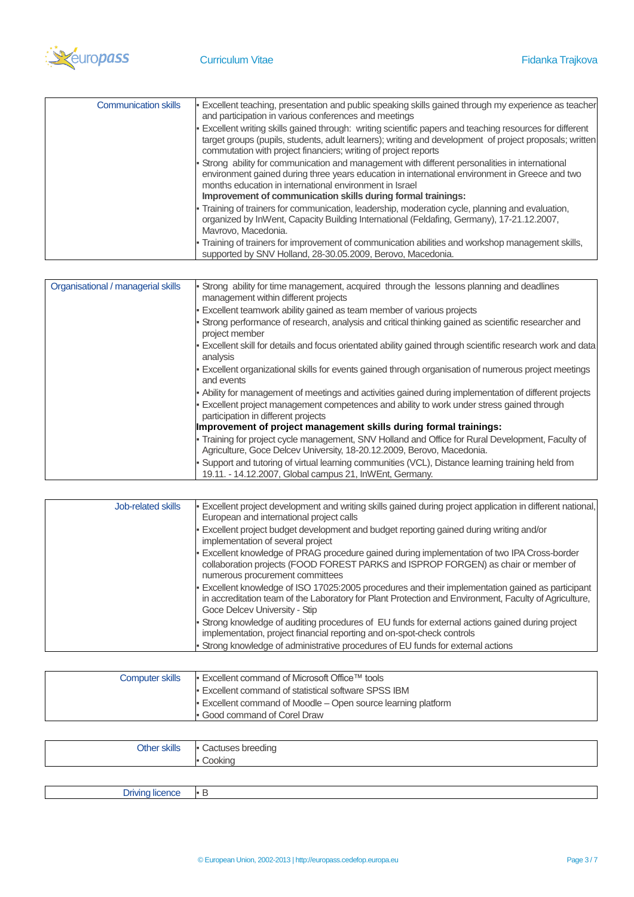

| <b>Communication skills</b> | Excellent teaching, presentation and public speaking skills gained through my experience as teacher<br>and participation in various conferences and meetings                                                                                                                                                               |
|-----------------------------|----------------------------------------------------------------------------------------------------------------------------------------------------------------------------------------------------------------------------------------------------------------------------------------------------------------------------|
|                             | . Excellent writing skills gained through: writing scientific papers and teaching resources for different<br>target groups (pupils, students, adult learners); writing and development of project proposals; written<br>commutation with project financiers; writing of project reports                                    |
|                             | Strong ability for communication and management with different personalities in international<br>environment gained during three years education in international environment in Greece and two<br>months education in international environment in Israel<br>Improvement of communication skills during formal trainings: |
|                             | - Training of trainers for communication, leadership, moderation cycle, planning and evaluation,<br>organized by InWent, Capacity Building International (Feldafing, Germany), 17-21.12.2007,<br>Mavrovo, Macedonia.                                                                                                       |
|                             | - Training of trainers for improvement of communication abilities and workshop management skills,<br>supported by SNV Holland, 28-30.05.2009, Berovo, Macedonia.                                                                                                                                                           |

| Organisational / managerial skills | Strong ability for time management, acquired through the lessons planning and deadlines<br>management within different projects                                           |
|------------------------------------|---------------------------------------------------------------------------------------------------------------------------------------------------------------------------|
|                                    | Excellent teamwork ability gained as team member of various projects                                                                                                      |
|                                    | Strong performance of research, analysis and critical thinking gained as scientific researcher and<br>project member                                                      |
|                                    | Excellent skill for details and focus orientated ability gained through scientific research work and data<br>analysis                                                     |
|                                    | Excellent organizational skills for events gained through organisation of numerous project meetings<br>and events                                                         |
|                                    | Ability for management of meetings and activities gained during implementation of different projects                                                                      |
|                                    | Excellent project management competences and ability to work under stress gained through<br>participation in different projects                                           |
|                                    | Improvement of project management skills during formal trainings:                                                                                                         |
|                                    | Training for project cycle management, SNV Holland and Office for Rural Development, Faculty of<br>Agriculture, Goce Delcev University, 18-20.12.2009, Berovo, Macedonia. |
|                                    | Support and tutoring of virtual learning communities (VCL), Distance learning training held from<br>19.11. - 14.12.2007, Global campus 21, InWEnt, Germany.               |

| Job-related skills | Excellent project development and writing skills gained during project application in different national,<br>European and international project calls                                                                                     |
|--------------------|-------------------------------------------------------------------------------------------------------------------------------------------------------------------------------------------------------------------------------------------|
|                    | Excellent project budget development and budget reporting gained during writing and/or<br>implementation of several project                                                                                                               |
|                    | Excellent knowledge of PRAG procedure gained during implementation of two IPA Cross-border<br>collaboration projects (FOOD FOREST PARKS and ISPROP FORGEN) as chair or member of<br>numerous procurement committees                       |
|                    | Excellent knowledge of ISO 17025:2005 procedures and their implementation gained as participant<br>in accreditation team of the Laboratory for Plant Protection and Environment, Faculty of Agriculture,<br>Goce Delcev University - Stip |
|                    | Strong knowledge of auditing procedures of EU funds for external actions gained during project<br>implementation, project financial reporting and on-spot-check controls                                                                  |
|                    | Strong knowledge of administrative procedures of EU funds for external actions                                                                                                                                                            |

| <b>Computer skills</b> | ■ Excellent command of Microsoft Office™ tools              |
|------------------------|-------------------------------------------------------------|
|                        | <b>Excellent command of statistical software SPSS IBM</b>   |
|                        | Excellent command of Moodle – Open source learning platform |
|                        | Good command of Corel Draw                                  |

| <b>Other skills</b> | $\mathbf{r}$<br>Cactuses breeding<br>$\sim$<br>ookino |
|---------------------|-------------------------------------------------------|
|                     |                                                       |

| . .<br>-.<br>v<br>- 11<br>. . |  |
|-------------------------------|--|
|                               |  |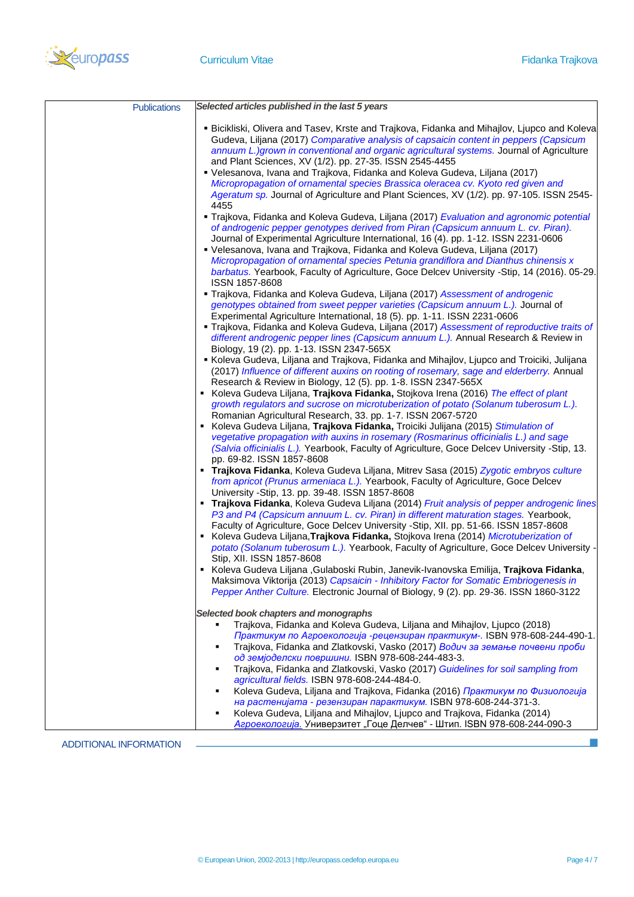

| <b>Publications</b> | Selected articles published in the last 5 years                                                                                                                                                                                                                                                                                                                                                                                                                                                                                                                                                                            |
|---------------------|----------------------------------------------------------------------------------------------------------------------------------------------------------------------------------------------------------------------------------------------------------------------------------------------------------------------------------------------------------------------------------------------------------------------------------------------------------------------------------------------------------------------------------------------------------------------------------------------------------------------------|
|                     | <b>■ Bicikliski, Olivera and Tasev, Krste and Trajkova, Fidanka and Mihajlov, Ljupco and Koleva</b><br>Gudeva, Liljana (2017) Comparative analysis of capsaicin content in peppers (Capsicum<br>annuum L.)grown in conventional and organic agricultural systems. Journal of Agriculture<br>and Plant Sciences, XV (1/2). pp. 27-35. ISSN 2545-4455<br>• Velesanova, Ivana and Trajkova, Fidanka and Koleva Gudeva, Liljana (2017)<br>Micropropagation of ornamental species Brassica oleracea cv. Kyoto red given and<br>Ageratum sp. Journal of Agriculture and Plant Sciences, XV (1/2). pp. 97-105. ISSN 2545-<br>4455 |
|                     | " Trajkova, Fidanka and Koleva Gudeva, Liljana (2017) Evaluation and agronomic potential<br>of androgenic pepper genotypes derived from Piran (Capsicum annuum L. cv. Piran).<br>Journal of Experimental Agriculture International, 16 (4). pp. 1-12. ISSN 2231-0606<br>• Velesanova, Ivana and Trajkova, Fidanka and Koleva Gudeva, Liljana (2017)<br>Micropropagation of ornamental species Petunia grandiflora and Dianthus chinensis x<br>barbatus. Yearbook, Faculty of Agriculture, Goce Delcev University -Stip, 14 (2016). 05-29.<br>ISSN 1857-8608                                                                |
|                     | Trajkova, Fidanka and Koleva Gudeva, Liljana (2017) Assessment of androgenic<br>genotypes obtained from sweet pepper varieties (Capsicum annuum L.). Journal of<br>Experimental Agriculture International, 18 (5). pp. 1-11. ISSN 2231-0606<br>" Trajkova, Fidanka and Koleva Gudeva, Liljana (2017) Assessment of reproductive traits of<br>different androgenic pepper lines (Capsicum annuum L.). Annual Research & Review in<br>Biology, 19 (2). pp. 1-13. ISSN 2347-565X                                                                                                                                              |
|                     | Koleva Gudeva, Liljana and Trajkova, Fidanka and Mihajlov, Ljupco and Troiciki, Julijana<br>(2017) Influence of different auxins on rooting of rosemary, sage and elderberry. Annual<br>Research & Review in Biology, 12 (5). pp. 1-8. ISSN 2347-565X<br>Koleva Gudeva Liljana, Trajkova Fidanka, Stojkova Irena (2016) The effect of plant<br>growth regulators and sucrose on microtuberization of potato (Solanum tuberosum L.).                                                                                                                                                                                        |
|                     | Romanian Agricultural Research, 33. pp. 1-7. ISSN 2067-5720<br>Koleva Gudeva Liljana, Trajkova Fidanka, Troiciki Julijana (2015) Stimulation of<br>vegetative propagation with auxins in rosemary (Rosmarinus officinialis L.) and sage<br>(Salvia officinialis L.). Yearbook, Faculty of Agriculture, Goce Delcev University -Stip, 13.<br>pp. 69-82. ISSN 1857-8608                                                                                                                                                                                                                                                      |
|                     | <b>Trajkova Fidanka</b> , Koleva Gudeva Liljana, Mitrev Sasa (2015) Zygotic embryos culture<br>from apricot (Prunus armeniaca L.). Yearbook, Faculty of Agriculture, Goce Delcev<br>University -Stip, 13. pp. 39-48. ISSN 1857-8608<br><b>Trajkova Fidanka</b> , Koleva Gudeva Liljana (2014) Fruit analysis of pepper androgenic lines<br>P3 and P4 (Capsicum annuum L. cv. Piran) in different maturation stages. Yearbook,                                                                                                                                                                                              |
|                     | Faculty of Agriculture, Goce Delcev University -Stip, XII. pp. 51-66. ISSN 1857-8608<br>Koleva Gudeva Liljana, Trajkova Fidanka, Stojkova Irena (2014) Microtuberization of<br>potato (Solanum tuberosum L.). Yearbook, Faculty of Agriculture, Goce Delcev University -<br>Stip, XII. ISSN 1857-8608<br>Koleva Gudeva Liljana , Gulaboski Rubin, Janevik-Ivanovska Emilija, Trajkova Fidanka,                                                                                                                                                                                                                             |
|                     | Maksimova Viktorija (2013) Capsaicin - Inhibitory Factor for Somatic Embriogenesis in<br>Pepper Anther Culture. Electronic Journal of Biology, 9 (2). pp. 29-36. ISSN 1860-3122<br>Selected book chapters and monographs                                                                                                                                                                                                                                                                                                                                                                                                   |
|                     | Trajkova, Fidanka and Koleva Gudeva, Liljana and Mihajlov, Ljupco (2018)<br>Практикум по Агроекологија -рецензиран практикум-. ISBN 978-608-244-490-1.<br>Trajkova, Fidanka and Zlatkovski, Vasko (2017) Водич за земање почвени проби<br>од земјоделски површини. ISBN 978-608-244-483-3.<br>Trajkova, Fidanka and Zlatkovski, Vasko (2017) Guidelines for soil sampling from<br>agricultural fields. ISBN 978-608-244-484-0.                                                                                                                                                                                             |
|                     | Koleva Gudeva, Liljana and Trajkova, Fidanka (2016) Практикум по Физиологија<br>на растенијата - резензиран парактикум. ISBN 978-608-244-371-3.<br>Koleva Gudeva, Liljana and Mihajlov, Ljupco and Trajkova, Fidanka (2014)<br>Агроекологија. Универзитет "Гоце Делчев" - Штип. ISBN 978-608-244-090-3                                                                                                                                                                                                                                                                                                                     |

ADDITIONAL INFORMATION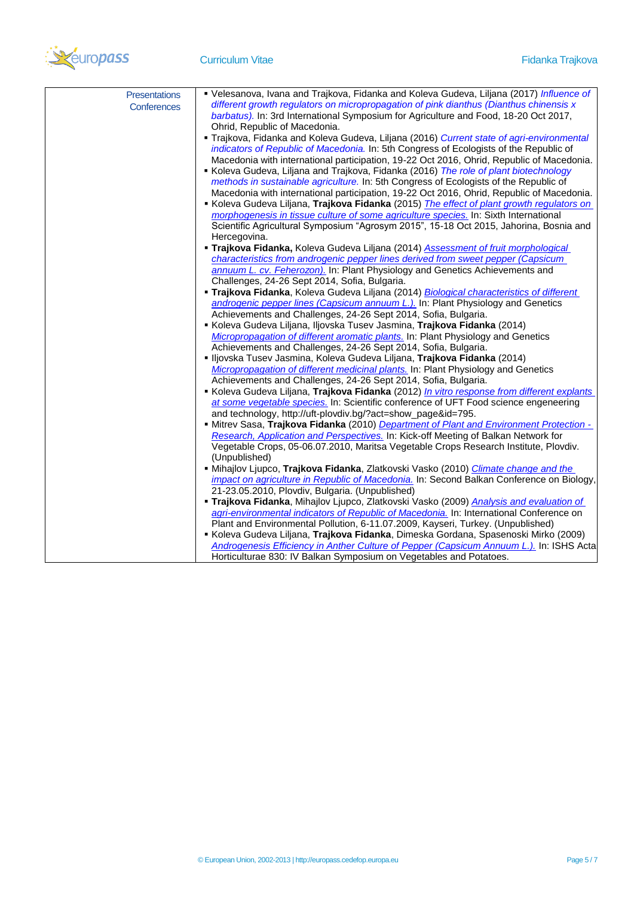

| <b>Presentations</b> | • Velesanova, Ivana and Trajkova, Fidanka and Koleva Gudeva, Liljana (2017) Influence of                                                            |
|----------------------|-----------------------------------------------------------------------------------------------------------------------------------------------------|
| Conferences          | different growth regulators on micropropagation of pink dianthus (Dianthus chinensis x                                                              |
|                      | barbatus). In: 3rd International Symposium for Agriculture and Food, 18-20 Oct 2017,                                                                |
|                      | Ohrid, Republic of Macedonia.                                                                                                                       |
|                      | " Trajkova, Fidanka and Koleva Gudeva, Liljana (2016) Current state of agri-environmental                                                           |
|                      | indicators of Republic of Macedonia. In: 5th Congress of Ecologists of the Republic of                                                              |
|                      | Macedonia with international participation, 19-22 Oct 2016, Ohrid, Republic of Macedonia.                                                           |
|                      | Koleva Gudeva, Liljana and Trajkova, Fidanka (2016) The role of plant biotechnology                                                                 |
|                      | methods in sustainable agriculture. In: 5th Congress of Ecologists of the Republic of                                                               |
|                      | Macedonia with international participation, 19-22 Oct 2016, Ohrid, Republic of Macedonia.                                                           |
|                      | Koleva Gudeva Liljana, Trajkova Fidanka (2015) The effect of plant growth regulators on                                                             |
|                      | morphogenesis in tissue culture of some agriculture species. In: Sixth International                                                                |
|                      | Scientific Agricultural Symposium "Agrosym 2015", 15-18 Oct 2015, Jahorina, Bosnia and                                                              |
|                      | Hercegovina.                                                                                                                                        |
|                      | <b>- Trajkova Fidanka, Koleva Gudeva Liljana (2014)</b> Assessment of fruit morphological                                                           |
|                      | characteristics from androgenic pepper lines derived from sweet pepper (Capsicum                                                                    |
|                      | annuum L. cv. Feherozon). In: Plant Physiology and Genetics Achievements and                                                                        |
|                      | Challenges, 24-26 Sept 2014, Sofia, Bulgaria.                                                                                                       |
|                      | <b>Trajkova Fidanka, Koleva Gudeva Liljana (2014)</b> Biological characteristics of different                                                       |
|                      | androgenic pepper lines (Capsicum annuum L.). In: Plant Physiology and Genetics                                                                     |
|                      | Achievements and Challenges, 24-26 Sept 2014, Sofia, Bulgaria.                                                                                      |
|                      | Koleva Gudeva Liljana, Iljovska Tusev Jasmina, Trajkova Fidanka (2014)                                                                              |
|                      | Micropropagation of different aromatic plants. In: Plant Physiology and Genetics                                                                    |
|                      | Achievements and Challenges, 24-26 Sept 2014, Sofia, Bulgaria.                                                                                      |
|                      | · Iljovska Tusev Jasmina, Koleva Gudeva Liljana, Trajkova Fidanka (2014)                                                                            |
|                      | Micropropagation of different medicinal plants. In: Plant Physiology and Genetics<br>Achievements and Challenges, 24-26 Sept 2014, Sofia, Bulgaria. |
|                      | Koleva Gudeva Liljana, Trajkova Fidanka (2012) In vitro response from different explants                                                            |
|                      | at some vegetable species. In: Scientific conference of UFT Food science engeneering                                                                |
|                      | and technology, http://uft-plovdiv.bg/?act=show_page&id=795.                                                                                        |
|                      | - Mitrev Sasa, Trajkova Fidanka (2010) Department of Plant and Environment Protection -                                                             |
|                      | Research, Application and Perspectives. In: Kick-off Meeting of Balkan Network for                                                                  |
|                      | Vegetable Crops, 05-06.07.2010, Maritsa Vegetable Crops Research Institute, Plovdiv.                                                                |
|                      | (Unpublished)                                                                                                                                       |
|                      | • Mihajlov Ljupco, Trajkova Fidanka, Zlatkovski Vasko (2010) Climate change and the                                                                 |
|                      | impact on agriculture in Republic of Macedonia. In: Second Balkan Conference on Biology,                                                            |
|                      | 21-23.05.2010, Plovdiv, Bulgaria. (Unpublished)                                                                                                     |
|                      | <b>- Trajkova Fidanka</b> , Mihajlov Ljupco, Zlatkovski Vasko (2009) Analysis and evaluation of                                                     |
|                      | agri-environmental indicators of Republic of Macedonia. In: International Conference on                                                             |
|                      | Plant and Environmental Pollution, 6-11.07.2009, Kayseri, Turkey. (Unpublished)                                                                     |
|                      | Koleva Gudeva Liljana, Trajkova Fidanka, Dimeska Gordana, Spasenoski Mirko (2009)                                                                   |
|                      | Androgenesis Efficiency in Anther Culture of Pepper (Capsicum Annuum L.). In: ISHS Acta                                                             |
|                      | Horticulturae 830: IV Balkan Symposium on Vegetables and Potatoes.                                                                                  |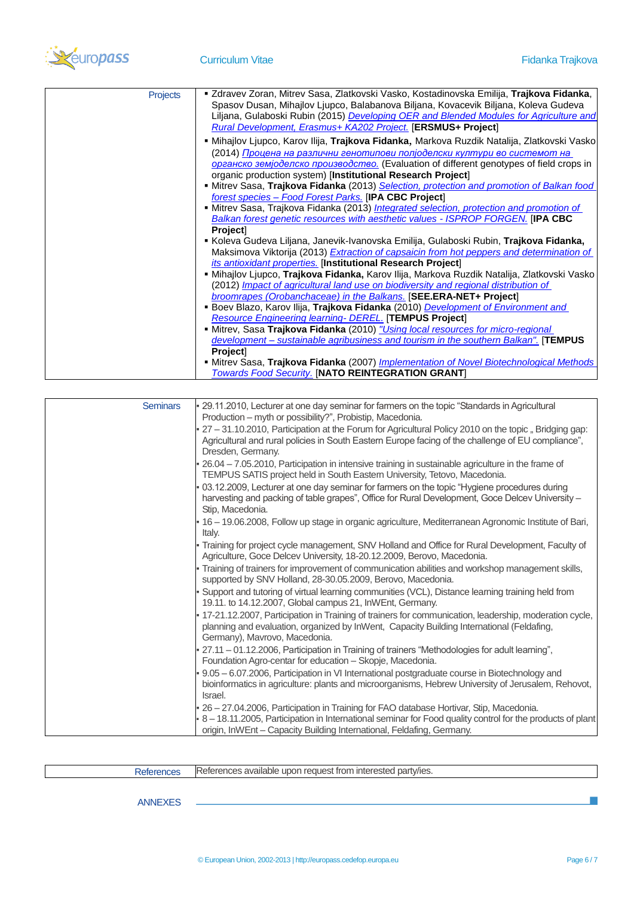

| <b>Projects</b> | ■ Zdravev Zoran, Mitrev Sasa, Zlatkovski Vasko, Kostadinovska Emilija, Trajkova Fidanka,           |
|-----------------|----------------------------------------------------------------------------------------------------|
|                 | Spasov Dusan, Mihajlov Ljupco, Balabanova Biljana, Kovacevik Biljana, Koleva Gudeva                |
|                 | Liljana, Gulaboski Rubin (2015) Developing OER and Blended Modules for Agriculture and             |
|                 | <b>Rural Development, Erasmus+ KA202 Project. [ERSMUS+ Project]</b>                                |
|                 | <b>- Mihajlov Ljupco, Karov Ilija, Trajkova Fidanka, Markova Ruzdik Natalija, Zlatkovski Vasko</b> |
|                 | (2014) Процена на различни генотипови полјоделски култури во системот на                           |
|                 | органско земјоделско производство. (Evaluation of different genotypes of field crops in            |
|                 | organic production system) [Institutional Research Project]                                        |
|                 | • Mitrev Sasa, Trajkova Fidanka (2013) Selection, protection and promotion of Balkan food          |
|                 | forest species - Food Forest Parks. [IPA CBC Project]                                              |
|                 | • Mitrev Sasa, Trajkova Fidanka (2013) Integrated selection, protection and promotion of           |
|                 | <b>Balkan forest genetic resources with aesthetic values - ISPROP FORGEN. [IPA CBC</b>             |
|                 | Project]                                                                                           |
|                 | Koleva Gudeva Liljana, Janevik-Ivanovska Emilija, Gulaboski Rubin, Trajkova Fidanka,               |
|                 | Maksimova Viktorija (2013) Extraction of capsaicin from hot peppers and determination of           |
|                 | its antioxidant properties. [Institutional Research Project]                                       |
|                 | · Mihajlov Ljupco, Trajkova Fidanka, Karov Ilija, Markova Ruzdik Natalija, Zlatkovski Vasko        |
|                 | (2012) Impact of agricultural land use on biodiversity and regional distribution of                |
|                 | broomrapes (Orobanchaceae) in the Balkans. [SEE.ERA-NET+ Project]                                  |
|                 | <b>Boev Blazo, Karov Ilija, Trajkova Fidanka</b> (2010) Development of Environment and             |
|                 | <b>Resource Engineering learning- DEREL. [TEMPUS Project]</b>                                      |
|                 | • Mitrev, Sasa Trajkova Fidanka (2010) "Using local resources for micro-regional                   |
|                 | development – sustainable agribusiness and tourism in the southern Balkan". [TEMPUS                |
|                 | Project]                                                                                           |
|                 | • Mitrev Sasa, Trajkova Fidanka (2007) <i>Implementation of Novel Biotechnological Methods</i>     |
|                 | <b>Towards Food Security. [NATO REINTEGRATION GRANT]</b>                                           |

| <b>Seminars</b> | - 29.11.2010, Lecturer at one day seminar for farmers on the topic "Standards in Agricultural<br>Production - myth or possibility?", Probistip, Macedonia.                                                                                                                   |
|-----------------|------------------------------------------------------------------------------------------------------------------------------------------------------------------------------------------------------------------------------------------------------------------------------|
|                 | 27 - 31.10.2010, Participation at the Forum for Agricultural Policy 2010 on the topic, Bridging gap:<br>Agricultural and rural policies in South Eastern Europe facing of the challenge of EU compliance",<br>Dresden, Germany.                                              |
|                 | 26.04 - 7.05.2010, Participation in intensive training in sustainable agriculture in the frame of<br>TEMPUS SATIS project held in South Eastern University, Tetovo, Macedonia.                                                                                               |
|                 | 03.12.2009, Lecturer at one day seminar for farmers on the topic "Hygiene procedures during<br>harvesting and packing of table grapes", Office for Rural Development, Goce Delcev University -<br>Stip, Macedonia.                                                           |
|                 | • 16 - 19.06.2008, Follow up stage in organic agriculture, Mediterranean Agronomic Institute of Bari,<br>Italy.                                                                                                                                                              |
|                 | - Training for project cycle management, SNV Holland and Office for Rural Development, Faculty of<br>Agriculture, Goce Delcev University, 18-20.12.2009, Berovo, Macedonia.                                                                                                  |
|                 | - Training of trainers for improvement of communication abilities and workshop management skills,<br>supported by SNV Holland, 28-30.05.2009, Berovo, Macedonia.                                                                                                             |
|                 | Support and tutoring of virtual learning communities (VCL), Distance learning training held from<br>19.11. to 14.12.2007, Global campus 21, InWEnt, Germany.                                                                                                                 |
|                 | . 17-21.12.2007, Participation in Training of trainers for communication, leadership, moderation cycle,<br>planning and evaluation, organized by InWent, Capacity Building International (Feldafing,<br>Germany), Mavrovo, Macedonia.                                        |
|                 | 27.11 - 01.12.2006, Participation in Training of trainers "Methodologies for adult learning",<br>Foundation Agro-centar for education - Skopje, Macedonia.                                                                                                                   |
|                 | 9.05 - 6.07.2006, Participation in VI International postgraduate course in Biotechnology and<br>bioinformatics in agriculture: plants and microorganisms, Hebrew University of Jerusalem, Rehovot,<br>Israel.                                                                |
|                 | 26 - 27.04.2006, Participation in Training for FAO database Hortivar, Stip, Macedonia.<br>8 - 18.11.2005, Participation in International seminar for Food quality control for the products of plant<br>origin, InWEnt - Capacity Building International, Feldafing, Germany. |

| Patarancae<br>NGIGI GI IUGO | i interested partv/ies.<br>$r \cap \Omega$<br>it from<br><b>References</b><br>rences available<br>$I\Omega$<br>--<br>upor<br>. GUUGSL 1 |
|-----------------------------|-----------------------------------------------------------------------------------------------------------------------------------------|

ANNEXES

**I**